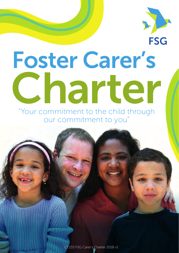

# Foster Carer's Charter

"Your commitment to the child through our commitment to you"

CT233 FSG Carer's Charter 2018 v1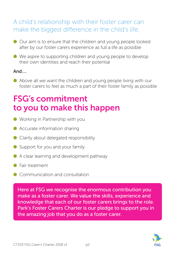## A child's relationship with their foster carer can make the biggest difference in the child's life.

- Our aim is to ensure that the children and young people looked after by our foster carers experience as full a life as possible
- We aspire to supporting children and young people to develop their own identities and reach their potential

#### And….

● Above all we want the children and young people living with our foster carers to feel as much a part of their foster family as possible

## FSG's commitment to you to make this happen

- Working in Partnership with you
- Accurate information sharing
- Clarity about delegated responsibility
- Support for you and your family
- A clear learning and development pathway
- Fair treatment
- Communication and consultation

Here at FSG we recognise the enormous contribution you make as a foster carer. We value the skills, experience and knowledge that each of our foster carers brings to the role. Park's Foster Carers Charter is our pledge to support you in the amazing job that you do as a foster carer.

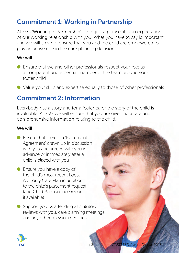## Commitment 1: Working in Partnership

At FSG 'Working in Partnership' is not just a phrase, it is an expectation of our working relationship with you. What you have to say is important and we will strive to ensure that you and the child are empowered to play an active role in the care planning decisions.

#### We will:

- Ensure that we and other professionals respect your role as a competent and essential member of the team around your foster child
- Value your skills and expertise equally to those of other professionals

## Commitment 2: Information

Everybody has a story and for a foster carer the story of the child is invaluable. At FSG we will ensure that you are given accurate and comprehensive information relating to the child.

- Ensure that there is a 'Placement' Agreement' drawn up in discussion with you and agreed with you in advance or immediately after a child is placed with you
- Ensure you have a copy of the child's most recent Local Authority Care Plan in addition to the child's placement request (and Child Permanence report if available)
- Support you by attending all statutory reviews with you, care planning meetings and any other relevant meetings

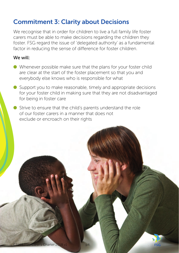## Commitment 3: Clarity about Decisions

We recognise that in order for children to live a full family life foster carers must be able to make decisions regarding the children they foster. FSG regard the issue of 'delegated authority' as a fundamental factor in reducing the sense of difference for foster children.

#### We will:

- Whenever possible make sure that the plans for your foster child are clear at the start of the foster placement so that you and everybody else knows who is responsible for what
- Support you to make reasonable, timely and appropriate decisions for your foster child in making sure that they are not disadvantaged for being in foster care
- Strive to ensure that the child's parents understand the role of our foster carers in a manner that does not exclude or encroach on their rights



ESC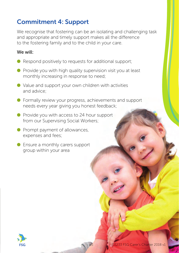## Commitment 4: Support

We recognise that fostering can be an isolating and challenging task and appropriate and timely support makes all the difference to the fostering family and to the child in your care.

- $\bullet$  Respond positively to requests for additional support;
- Provide you with high quality supervision visit you at least monthly increasing in response to need;
- Value and support your own children with activities and advice;
- Formally review your progress, achievements and support needs every year giving you honest feedback;
- Provide you with access to 24 hour support from our Supervising Social Workers;
- Prompt payment of allowances, expenses and fees;
- Ensure a monthly carers support group within your area

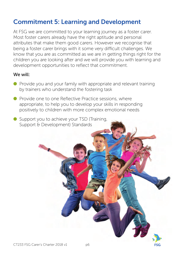## Commitment 5: Learning and Development

At FSG we are committed to your learning journey as a foster carer. Most foster carers already have the right aptitude and personal attributes that make them good carers. However we recognise that being a foster carer brings with it some very difficult challenges. We know that you are as committed as we are in getting things right for the children you are looking after and we will provide you with learning and development opportunities to reflect that commitment.

- Provide you and your family with appropriate and relevant training by trainers who understand the fostering task
- Provide one to one Reflective Practice sessions, where appropriate, to help you to develop your skills in responding positively to children with more complex emotional needs
- Support you to achieve your TSD (Training, Support & Development) Standards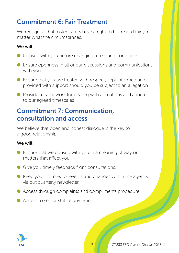## Commitment 6: Fair Treatment

We recognise that foster carers have a right to be treated fairly, no matter what the circumstances.

#### We will:

- Consult with you before changing terms and conditions
- Ensure openness in all of our discussions and communications with you
- $\bullet$  Ensure that you are treated with respect, kept informed and provided with support should you be subject to an allegation
- $\bullet$  Provide a framework for dealing with allegations and adhere to our agreed timescales

## Commitment 7: Communication, consultation and access

We believe that open and honest dialogue is the key to a good relationship.

- $\bullet$  Ensure that we consult with you in a meaningful way on matters that affect you
- Give you timely feedback from consultations.
- $\bullet$  Keep you informed of events and changes within the agency via out quarterly newsletter
- $\bullet$  Access through complaints and compliments procedure
- Access to senior staff at any time

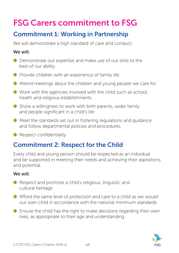# FSG Carers commitment to FSG

## Commitment 1: Working in Partnership

We will demonstrate a high standard of care and conduct.

#### We will:

- Demonstrate our expertise and make use of our skills to the best of our ability
- $\bullet$  Provide children with an experience of family life
- Attend meetings about the children and young people we care for
- $\bullet$  Work with the agencies involved with the child such as school, health and religious establishments
- $\bullet$  Show a willingness to work with birth parents, wider family and people significant in a child's life
- $\bullet$  Meet the standards set out in fostering regulations and guidance and follow departmental policies and procedures
- Respect confidentiality

## Commitment 2: Respect for the Child

Every child and young person should be respected as an individual and be supported in meeting their needs and achieving their aspirations and potential.

- Respect and promote a child's religious, linguistic and cultural heritage
- Afford the same level of protection and care to a child as we would our own child in accordance with the national minimum standards
- $\bullet$  Ensure the child has the right to make decisions regarding their own lives, as appropriate to their age and understanding

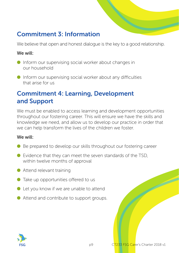## Commitment 3: Information

We believe that open and honest dialogue is the key to a good relationship.

#### We will:

- Inform our supervising social worker about changes in our household
- $\bullet$  Inform our supervising social worker about any difficulties that arise for us

## Commitment 4: Learning, Development and Support

We must be enabled to access learning and development opportunities throughout our fostering career. This will ensure we have the skills and knowledge we need, and allow us to develop our practice in order that we can help transform the lives of the children we foster.

- Be prepared to develop our skills throughout our fostering career
- $\bullet$  Evidence that they can meet the seven standards of the TSD, within twelve months of approval
- Attend relevant training
- Take up opportunities offered to us
- $\bullet$  Let you know if we are unable to attend
- Attend and contribute to support groups.